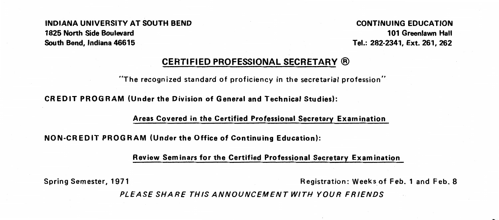INDIANA UNIVERSITY AT SOUTH BEND CONTINUING EDUCATION 1825 North Side Boulevard 101 Greenlawn Halt South Bend, Indiana 46615 Tel.: 282-2341, Ext. 261, 262

#### CERTIFIED PROFESSIONAL SECRETARY®

"The recognized standard of proficiency in the secretarial profession"

CREDIT PROGRAM (Under the Division of General and Technical Studies):

Areas Covered in the Certified Professional Secretary Examination

NON-CREDIT PROGRAM (Under the Office of Continuing Education):

Review Seminars for the Certified Professional Secretary Exam in ation

Spring Semester, 1971 Registration: Weeksof Feb. 1 and Feb. 8

t:

PLEASE SHARE THIS ANNOUNCEMENT WITH YOUR FRIENDS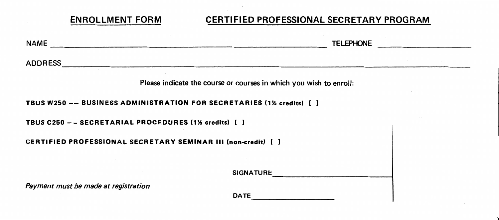## ENROLLMENT FORM CERTIFIED PROFESSIONAL SECRETARY PROGRAM

| <b>NAME</b><br>the contract of the contract of the contract of the contract of the contract of the contract of the | <b>TELEPHONE</b>                                                   |
|--------------------------------------------------------------------------------------------------------------------|--------------------------------------------------------------------|
| <b>ADDRESS</b>                                                                                                     |                                                                    |
|                                                                                                                    | Please indicate the course or courses in which you wish to enroll: |
| TBUS W250 -- BUSINESS ADMINISTRATION FOR SECRETARIES (1% credits) [ ]                                              |                                                                    |
| TBUS C250 -- SECRETARIAL PROCEDURES (1% credits) [ ]                                                               |                                                                    |
| <b>CERTIFIED PROFESSIONAL SECRETARY SEMINAR III (non-credit)</b> [ ]                                               |                                                                    |
|                                                                                                                    |                                                                    |
|                                                                                                                    | <b>SIGNATURE</b>                                                   |
| Payment must be made at registration                                                                               | <b>DATE</b>                                                        |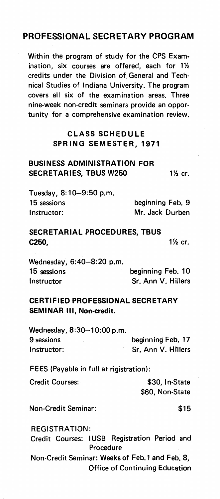## PROFESSIONAL SECRETARY PROGRAM

Within the program of study for the CPS Exam· ination, six courses are offered, each for 1% credits under the Division of General and Technical Studies of Indiana University. The program covers all six of the examination areas. Three nine-week non-credit seminars provide an opportunity for a comprehensive examination review.

#### CLASS SCHEDULE SPRING SEMESTER, 1971

### BUSINESS ADMINISTRATION FOR SECRETARIES, TBUS W250 1<sup>1/2</sup> cr.

Tuesday, 8:10-9:50 p.m. 15 sessions beginning Feb. 9 Instructor: Mr. Jack Durben

### SECRETARIAL PROCEDURES, TBUS **C250, 11/2 cr.**  $\frac{1}{2}$  cr.

Wednesday, 6:40-8:20 p.m. 15 sessions beginning Feb. 10 Instructor Sr. Ann V. Hillers

#### CERTIFIED PROFESSIONAL SECRETARY SEMINAR Ill, Non-credit.

Wednesday, 8:30-10:00 p.m. 9 sessions beginning Feb. 17 Instructor: Sr. Ann V. Hillers

FEES (Payable in full at rigistration):

Credit Courses: \$30, In-State \$60, Non-State

Non-Credit Seminar: \$15

REGISTRATION: Credit Courses: IUSB Registration Period and Procedure Non-Credit Seminar: Weeks of Feb. 1 and Feb. 8, Office of Continuing Education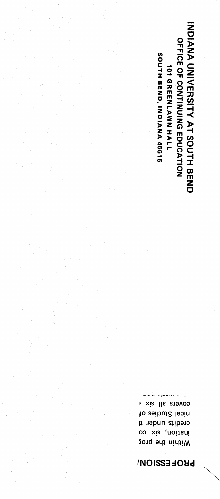# **PROFESSION/**

covers all six ( to zaibut2 lsoin credits under t ination, six co Within the prog

**INDIANA UNIVERSITY AT SOUTH BEND** OFFICE OF CONTINUING EDUCATION SOUTH BEND, INDIANA 46615 **101 GREENLAWN HALL**